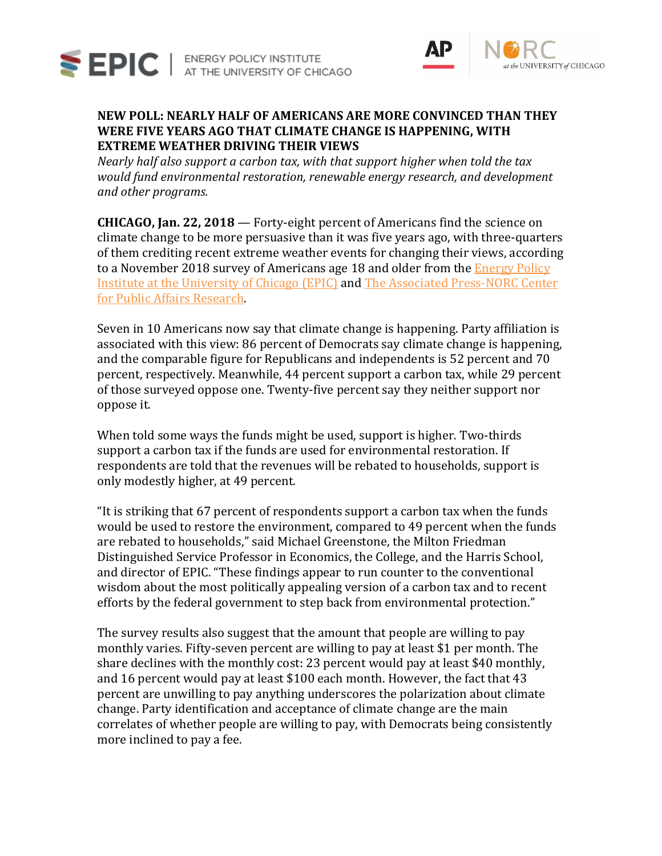

SEPIC | ENERGY POLICY INSTITUTE



# **NEW POLL: NEARLY HALF OF AMERICANS ARE MORE CONVINCED THAN THEY WERE FIVE YEARS AGO THAT CLIMATE CHANGE IS HAPPENING, WITH EXTREME WEATHER DRIVING THEIR VIEWS**

*Nearly half also support a carbon tax, with that support higher when told the tax would fund environmental restoration, renewable energy research, and development and other programs.*

**CHICAGO, Jan. 22, 2018** — Forty-eight percent of Americans find the science on climate change to be more persuasive than it was five years ago, with three-quarters of them crediting recent extreme weather events for changing their views, according to a November 2018 survey of Americans age 18 and older from the Energy Policy [Institute at the University of Chicago \(EPIC\)](https://epic.uchicago.edu/) and [The Associated Press-NORC Center](http://www.apnorc.org/Pages/default.aspx)  [for Public Affairs Research.](http://www.apnorc.org/Pages/default.aspx)

Seven in 10 Americans now say that climate change is happening. Party affiliation is associated with this view: 86 percent of Democrats say climate change is happening, and the comparable figure for Republicans and independents is 52 percent and 70 percent, respectively. Meanwhile, 44 percent support a carbon tax, while 29 percent of those surveyed oppose one. Twenty-five percent say they neither support nor oppose it.

When told some ways the funds might be used, support is higher. Two-thirds support a carbon tax if the funds are used for environmental restoration. If respondents are told that the revenues will be rebated to households, support is only modestly higher, at 49 percent.

"It is striking that 67 percent of respondents support a carbon tax when the funds would be used to restore the environment, compared to 49 percent when the funds are rebated to households," said Michael Greenstone, the Milton Friedman Distinguished Service Professor in Economics, the College, and the Harris School, and director of EPIC. "These findings appear to run counter to the conventional wisdom about the most politically appealing version of a carbon tax and to recent efforts by the federal government to step back from environmental protection."

The survey results also suggest that the amount that people are willing to pay monthly varies. Fifty-seven percent are willing to pay at least \$1 per month. The share declines with the monthly cost: 23 percent would pay at least \$40 monthly, and 16 percent would pay at least \$100 each month. However, the fact that 43 percent are unwilling to pay anything underscores the polarization about climate change. Party identification and acceptance of climate change are the main correlates of whether people are willing to pay, with Democrats being consistently more inclined to pay a fee.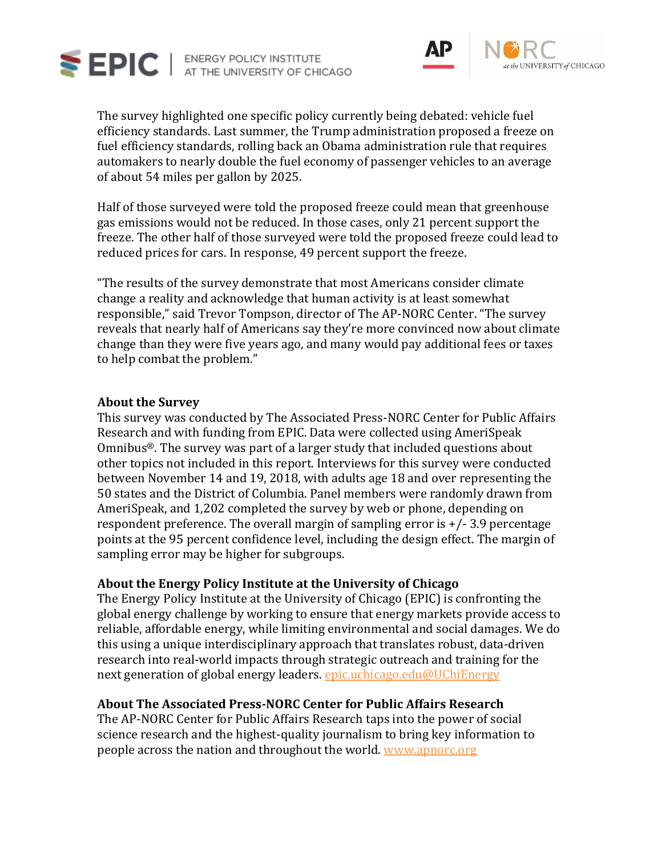



The survey highlighted one specific policy currently being debated: vehicle fuel efficiency standards. Last summer, the Trump administration proposed a freeze on fuel efficiency standards, rolling back an Obama administration rule that requires automakers to nearly double the fuel economy of passenger vehicles to an average of about 54 miles per gallon by 2025.

Half of those surveyed were told the proposed freeze could mean that greenhouse gas emissions would not be reduced. In those cases, only 21 percent support the freeze. The other half of those surveyed were told the proposed freeze could lead to reduced prices for cars. In response, 49 percent support the freeze.

"The results of the survey demonstrate that most Americans consider climate change a reality and acknowledge that human activity is at least somewhat responsible," said Trevor Tompson, director of The AP-NORC Center. "The survey reveals that nearly half of Americans say they're more convinced now about climate change than they were five years ago, and many would pay additional fees or taxes to help combat the problem."

#### **About the Survey**

This survey was conducted by The Associated Press-NORC Center for Public Affairs Research and with funding from EPIC. Data were collected using AmeriSpeak Omnibus®. The survey was part of a larger study that included questions about other topics not included in this report. Interviews for this survey were conducted between November 14 and 19, 2018, with adults age 18 and over representing the 50 states and the District of Columbia. Panel members were randomly drawn from AmeriSpeak, and 1,202 completed the survey by web or phone, depending on respondent preference. The overall margin of sampling error is +/- 3.9 percentage points at the 95 percent confidence level, including the design effect. The margin of sampling error may be higher for subgroups.

# **About the Energy Policy Institute at the University of Chicago**

The Energy Policy Institute at the University of Chicago (EPIC) is confronting the global energy challenge by working to ensure that energy markets provide access to reliable, affordable energy, while limiting environmental and social damages. We do this using a unique interdisciplinary approach that translates robust, data-driven research into real-world impacts through strategic outreach and training for the next generation of global energy leaders. [epic.uchicago.edu](https://epic.uchicago.edu/)[@UChiEnergy](https://twitter.com/UChiEnergy)

# **About The Associated Press-NORC Center for Public Affairs Research**

The AP-NORC Center for Public Affairs Research taps into the power of social science research and the highest-quality journalism to bring key information to people across the nation and throughout the world. [www.apnorc.org](http://apnorc.org/Pages/default.aspx)